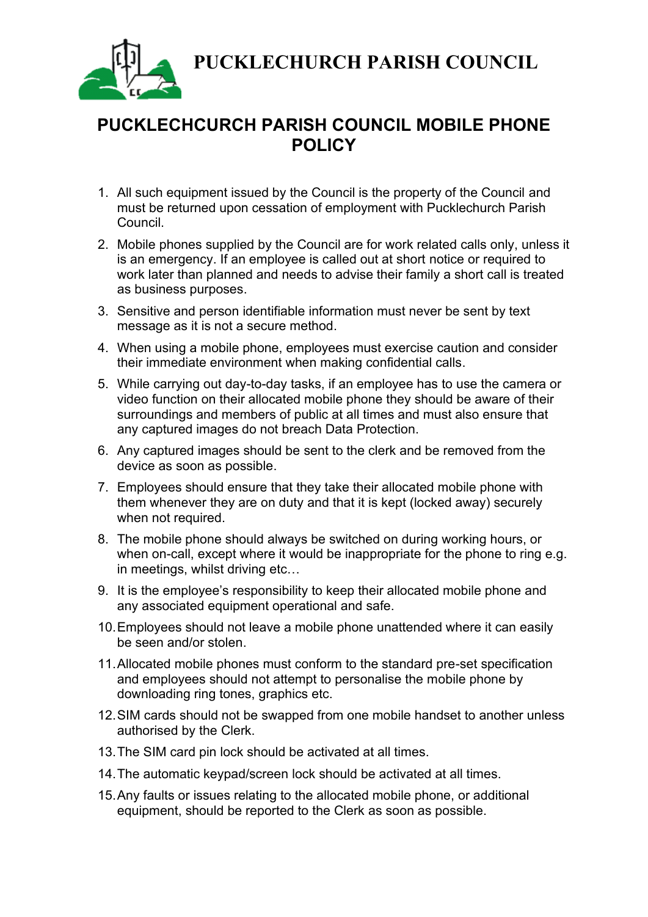**PUCKLECHURCH PARISH COUNCIL**



## **PUCKLECHCURCH PARISH COUNCIL MOBILE PHONE POLICY**

- 1. All such equipment issued by the Council is the property of the Council and must be returned upon cessation of employment with Pucklechurch Parish Council.
- 2. Mobile phones supplied by the Council are for work related calls only, unless it is an emergency. If an employee is called out at short notice or required to work later than planned and needs to advise their family a short call is treated as business purposes.
- 3. Sensitive and person identifiable information must never be sent by text message as it is not a secure method.
- 4. When using a mobile phone, employees must exercise caution and consider their immediate environment when making confidential calls.
- 5. While carrying out day-to-day tasks, if an employee has to use the camera or video function on their allocated mobile phone they should be aware of their surroundings and members of public at all times and must also ensure that any captured images do not breach Data Protection.
- 6. Any captured images should be sent to the clerk and be removed from the device as soon as possible.
- 7. Employees should ensure that they take their allocated mobile phone with them whenever they are on duty and that it is kept (locked away) securely when not required.
- 8. The mobile phone should always be switched on during working hours, or when on-call, except where it would be inappropriate for the phone to ring e.g. in meetings, whilst driving etc…
- 9. It is the employee's responsibility to keep their allocated mobile phone and any associated equipment operational and safe.
- 10.Employees should not leave a mobile phone unattended where it can easily be seen and/or stolen.
- 11.Allocated mobile phones must conform to the standard pre-set specification and employees should not attempt to personalise the mobile phone by downloading ring tones, graphics etc.
- 12.SIM cards should not be swapped from one mobile handset to another unless authorised by the Clerk.
- 13.The SIM card pin lock should be activated at all times.
- 14.The automatic keypad/screen lock should be activated at all times.
- 15.Any faults or issues relating to the allocated mobile phone, or additional equipment, should be reported to the Clerk as soon as possible.